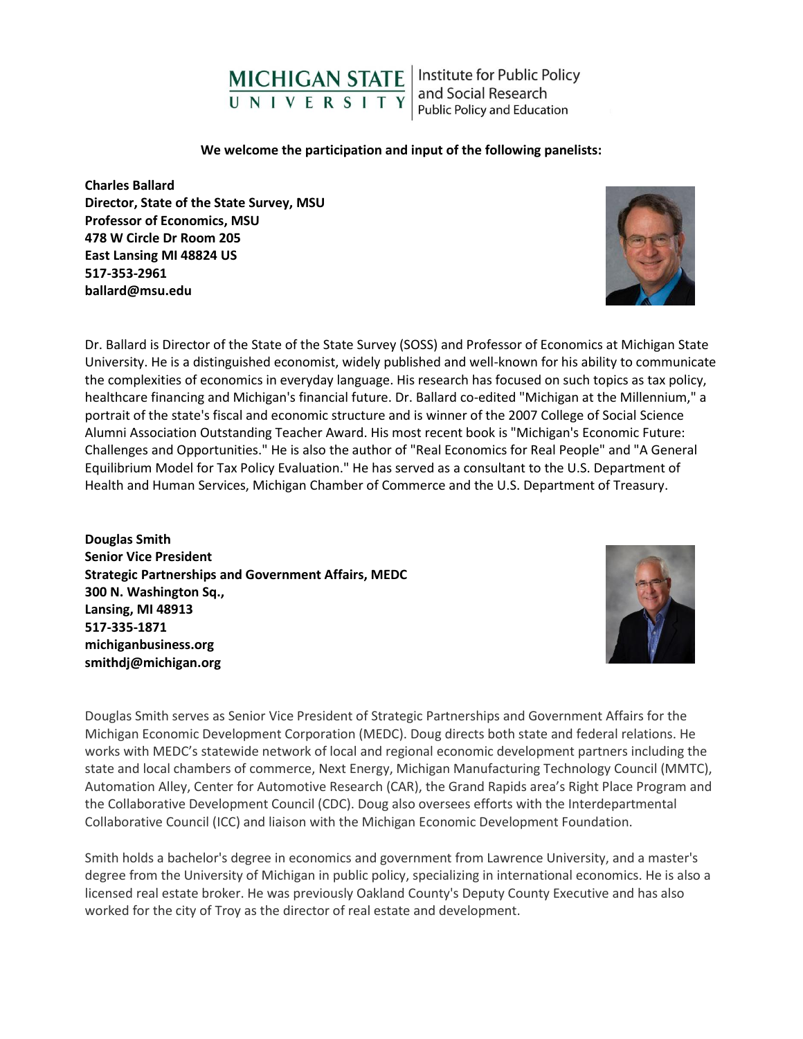## **MICHIGAN STATE** UNIVERSITY

Institute for Public Policy and Social Research Public Policy and Education

## **We welcome the participation and input of the following panelists:**

**Charles Ballard Director, State of the State Survey, MSU Professor of Economics, MSU 478 W Circle Dr Room 205 East Lansing MI 48824 US 517-353-2961 ballard@msu.edu**



Dr. Ballard is Director of the State of the State Survey (SOSS) and Professor of Economics at Michigan State University. He is a distinguished economist, widely published and well-known for his ability to communicate the complexities of economics in everyday language. His research has focused on such topics as tax policy, healthcare financing and Michigan's financial future. Dr. Ballard co-edited "Michigan at the Millennium," a portrait of the state's fiscal and economic structure and is winner of the 2007 College of Social Science Alumni Association Outstanding Teacher Award. His most recent book is "Michigan's Economic Future: Challenges and Opportunities." He is also the author of "Real Economics for Real People" and "A General Equilibrium Model for Tax Policy Evaluation." He has served as a consultant to the U.S. Department of Health and Human Services, Michigan Chamber of Commerce and the U.S. Department of Treasury.

**Douglas Smith Senior Vice President Strategic Partnerships and Government Affairs, MEDC 300 N. Washington Sq., Lansing, MI 48913 517-335-1871 michiganbusiness.org smithdj@michigan.org**



Douglas Smith serves as Senior Vice President of Strategic Partnerships and Government Affairs for the Michigan Economic Development Corporation (MEDC). Doug directs both state and federal relations. He works with MEDC's statewide network of local and regional economic development partners including the state and local chambers of commerce, Next Energy, Michigan Manufacturing Technology Council (MMTC), Automation Alley, Center for Automotive Research (CAR), the Grand Rapids area's Right Place Program and the Collaborative Development Council (CDC). Doug also oversees efforts with the Interdepartmental Collaborative Council (ICC) and liaison with the Michigan Economic Development Foundation.

Smith holds a bachelor's degree in economics and government from Lawrence University, and a master's degree from the University of Michigan in public policy, specializing in international economics. He is also a licensed real estate broker. He was previously Oakland County's Deputy County Executive and has also worked for the city of Troy as the director of real estate and development.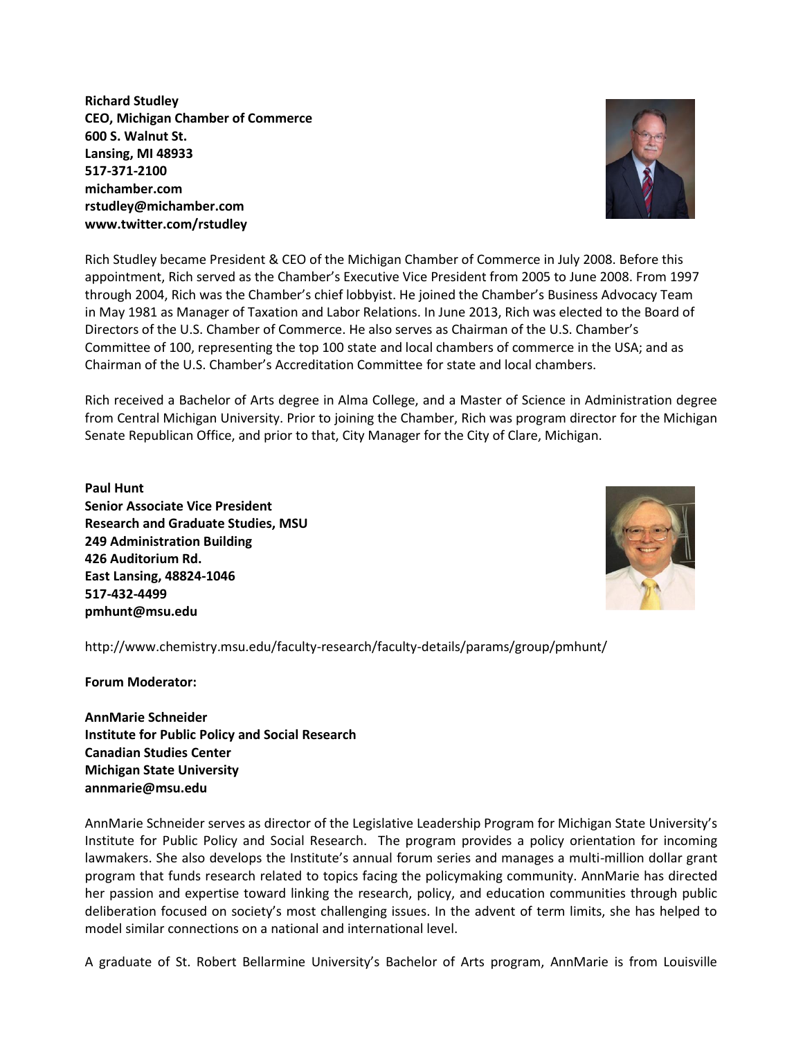**Richard Studley CEO, Michigan Chamber of Commerce 600 S. Walnut St. Lansing, MI 48933 517-371-2100 michamber.com rstudley@michamber.com www.twitter.com/rstudley**

Rich Studley became President & CEO of the Michigan Chamber of Commerce in July 2008. Before this appointment, Rich served as the Chamber's Executive Vice President from 2005 to June 2008. From 1997 through 2004, Rich was the Chamber's chief lobbyist. He joined the Chamber's Business Advocacy Team in May 1981 as Manager of Taxation and Labor Relations. In June 2013, Rich was elected to the Board of Directors of the U.S. Chamber of Commerce. He also serves as Chairman of the U.S. Chamber's Committee of 100, representing the top 100 state and local chambers of commerce in the USA; and as Chairman of the U.S. Chamber's Accreditation Committee for state and local chambers.

Rich received a Bachelor of Arts degree in Alma College, and a Master of Science in Administration degree from Central Michigan University. Prior to joining the Chamber, Rich was program director for the Michigan Senate Republican Office, and prior to that, City Manager for the City of Clare, Michigan.

## **Paul Hunt Senior Associate Vice President Research and Graduate Studies, MSU 249 Administration Building 426 Auditorium Rd. East Lansing, 48824-1046 517-432-4499 pmhunt@msu.edu**

http://www.chemistry.msu.edu/faculty-research/faculty-details/params/group/pmhunt/

**Forum Moderator:**

**AnnMarie Schneider Institute for Public Policy and Social Research Canadian Studies Center Michigan State University annmarie@msu.edu**

AnnMarie Schneider serves as director of the Legislative Leadership Program for Michigan State University's Institute for Public Policy and Social Research. The program provides a policy orientation for incoming lawmakers. She also develops the Institute's annual forum series and manages a multi-million dollar grant program that funds research related to topics facing the policymaking community. AnnMarie has directed her passion and expertise toward linking the research, policy, and education communities through public deliberation focused on society's most challenging issues. In the advent of term limits, she has helped to model similar connections on a national and international level.

A graduate of St. Robert Bellarmine University's Bachelor of Arts program, AnnMarie is from Louisville